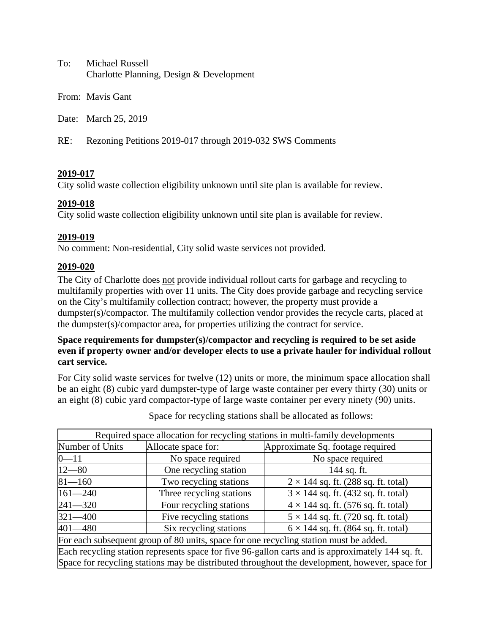To: Michael Russell Charlotte Planning, Design & Development

From: Mavis Gant

Date: March 25, 2019

RE: Rezoning Petitions 2019-017 through 2019-032 SWS Comments

## **2019-017**

City solid waste collection eligibility unknown until site plan is available for review.

## **2019-018**

City solid waste collection eligibility unknown until site plan is available for review.

## **2019-019**

No comment: Non-residential, City solid waste services not provided.

## **2019-020**

The City of Charlotte does not provide individual rollout carts for garbage and recycling to multifamily properties with over 11 units. The City does provide garbage and recycling service on the City's multifamily collection contract; however, the property must provide a dumpster(s)/compactor. The multifamily collection vendor provides the recycle carts, placed at the dumpster(s)/compactor area, for properties utilizing the contract for service.

# **Space requirements for dumpster(s)/compactor and recycling is required to be set aside even if property owner and/or developer elects to use a private hauler for individual rollout cart service.**

For City solid waste services for twelve (12) units or more, the minimum space allocation shall be an eight (8) cubic yard dumpster-type of large waste container per every thirty (30) units or an eight (8) cubic yard compactor-type of large waste container per every ninety (90) units.

| Required space allocation for recycling stations in multi-family developments                     |                          |                                            |
|---------------------------------------------------------------------------------------------------|--------------------------|--------------------------------------------|
| Number of Units                                                                                   | Allocate space for:      | Approximate Sq. footage required           |
| $0 - 11$                                                                                          | No space required        | No space required                          |
| $12 - 80$                                                                                         | One recycling station    | 144 sq. ft.                                |
| $81 - 160$                                                                                        | Two recycling stations   | $2 \times 144$ sq. ft. (288 sq. ft. total) |
| $161 - 240$                                                                                       | Three recycling stations | $3 \times 144$ sq. ft. (432 sq. ft. total) |
| $241 - 320$                                                                                       | Four recycling stations  | $4 \times 144$ sq. ft. (576 sq. ft. total) |
| $321 - 400$                                                                                       | Five recycling stations  | $5 \times 144$ sq. ft. (720 sq. ft. total) |
| $401 - 480$                                                                                       | Six recycling stations   | $6 \times 144$ sq. ft. (864 sq. ft. total) |
| For each subsequent group of 80 units, space for one recycling station must be added.             |                          |                                            |
| Each recycling station represents space for five 96-gallon carts and is approximately 144 sq. ft. |                          |                                            |
| Space for recycling stations may be distributed throughout the development, however, space for    |                          |                                            |

Space for recycling stations shall be allocated as follows: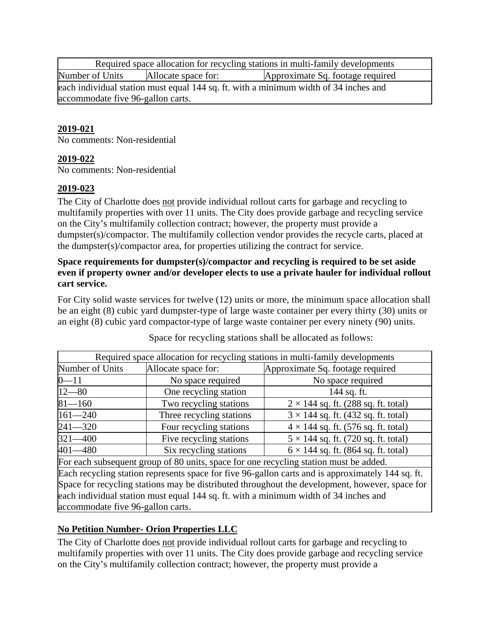Required space allocation for recycling stations in multi-family developments Number of Units Allocate space for: Approximate Sq. footage required each individual station must equal 144 sq. ft. with a minimum width of 34 inches and accommodate five 96-gallon carts.

# **2019-021**

No comments: Non-residential

## **2019-022**

No comments: Non-residential

## **2019-023**

The City of Charlotte does not provide individual rollout carts for garbage and recycling to multifamily properties with over 11 units. The City does provide garbage and recycling service on the City's multifamily collection contract; however, the property must provide a dumpster(s)/compactor. The multifamily collection vendor provides the recycle carts, placed at the dumpster(s)/compactor area, for properties utilizing the contract for service.

## **Space requirements for dumpster(s)/compactor and recycling is required to be set aside even if property owner and/or developer elects to use a private hauler for individual rollout cart service.**

For City solid waste services for twelve (12) units or more, the minimum space allocation shall be an eight (8) cubic yard dumpster-type of large waste container per every thirty (30) units or an eight (8) cubic yard compactor-type of large waste container per every ninety (90) units.

|                                                                                                   |                          | Required space allocation for recycling stations in multi-family developments |
|---------------------------------------------------------------------------------------------------|--------------------------|-------------------------------------------------------------------------------|
| Number of Units                                                                                   | Allocate space for:      | Approximate Sq. footage required                                              |
| $0 - 11$                                                                                          | No space required        | No space required                                                             |
| $12 - 80$                                                                                         | One recycling station    | 144 sq. ft.                                                                   |
| $81 - 160$                                                                                        | Two recycling stations   | $2 \times 144$ sq. ft. (288 sq. ft. total)                                    |
| $161 - 240$                                                                                       | Three recycling stations | $3 \times 144$ sq. ft. (432 sq. ft. total)                                    |
| $241 - 320$                                                                                       | Four recycling stations  | $4 \times 144$ sq. ft. (576 sq. ft. total)                                    |
| $321 - 400$                                                                                       | Five recycling stations  | $5 \times 144$ sq. ft. (720 sq. ft. total)                                    |
| $401 - 480$                                                                                       | Six recycling stations   | $6 \times 144$ sq. ft. (864 sq. ft. total)                                    |
| For each subsequent group of 80 units, space for one recycling station must be added.             |                          |                                                                               |
| Each recycling station represents space for five 96-gallon carts and is approximately 144 sq. ft. |                          |                                                                               |
| Space for recycling stations may be distributed throughout the development, however, space for    |                          |                                                                               |
| each individual station must equal 144 sq. ft. with a minimum width of 34 inches and              |                          |                                                                               |

Space for recycling stations shall be allocated as follows:

**No Petition Number- Orion Properties LLC**

accommodate five 96-gallon carts.

The City of Charlotte does not provide individual rollout carts for garbage and recycling to multifamily properties with over 11 units. The City does provide garbage and recycling service on the City's multifamily collection contract; however, the property must provide a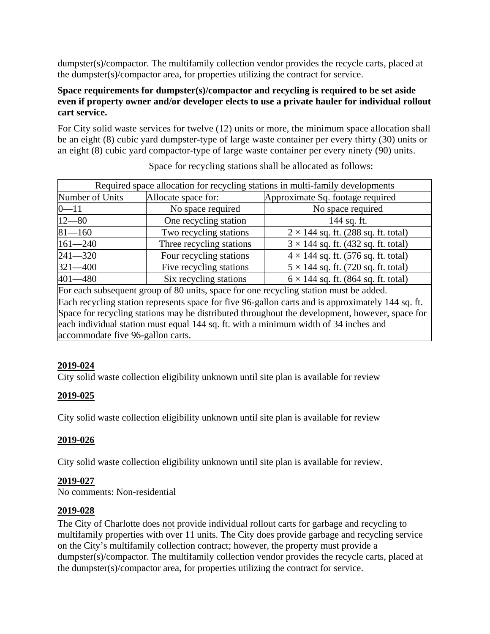dumpster(s)/compactor. The multifamily collection vendor provides the recycle carts, placed at the dumpster(s)/compactor area, for properties utilizing the contract for service.

# **Space requirements for dumpster(s)/compactor and recycling is required to be set aside even if property owner and/or developer elects to use a private hauler for individual rollout cart service.**

For City solid waste services for twelve (12) units or more, the minimum space allocation shall be an eight (8) cubic yard dumpster-type of large waste container per every thirty (30) units or an eight (8) cubic yard compactor-type of large waste container per every ninety (90) units.

| Required space allocation for recycling stations in multi-family developments                     |                          |                                            |
|---------------------------------------------------------------------------------------------------|--------------------------|--------------------------------------------|
| Number of Units                                                                                   | Allocate space for:      | Approximate Sq. footage required           |
| $-11$                                                                                             | No space required        | No space required                          |
| $12 - 80$                                                                                         | One recycling station    | 144 sq. ft.                                |
| $81 - 160$                                                                                        | Two recycling stations   | $2 \times 144$ sq. ft. (288 sq. ft. total) |
| $161 - 240$                                                                                       | Three recycling stations | $3 \times 144$ sq. ft. (432 sq. ft. total) |
| $241 - 320$                                                                                       | Four recycling stations  | $4 \times 144$ sq. ft. (576 sq. ft. total) |
| $321 - 400$                                                                                       | Five recycling stations  | $5 \times 144$ sq. ft. (720 sq. ft. total) |
| $401 - 480$                                                                                       | Six recycling stations   | $6 \times 144$ sq. ft. (864 sq. ft. total) |
| For each subsequent group of 80 units, space for one recycling station must be added.             |                          |                                            |
| Each recycling station represents space for five 96-gallon carts and is approximately 144 sq. ft. |                          |                                            |
| Space for recycling stations may be distributed throughout the development, however, space for    |                          |                                            |
| each individual station must equal 144 sq. ft. with a minimum width of 34 inches and              |                          |                                            |
| accommodate five 96-gallon carts.                                                                 |                          |                                            |

Space for recycling stations shall be allocated as follows:

#### **2019-024**

City solid waste collection eligibility unknown until site plan is available for review

# **2019-025**

City solid waste collection eligibility unknown until site plan is available for review

#### **2019-026**

City solid waste collection eligibility unknown until site plan is available for review.

#### **2019-027**

No comments: Non-residential

#### **2019-028**

The City of Charlotte does not provide individual rollout carts for garbage and recycling to multifamily properties with over 11 units. The City does provide garbage and recycling service on the City's multifamily collection contract; however, the property must provide a dumpster(s)/compactor. The multifamily collection vendor provides the recycle carts, placed at the dumpster(s)/compactor area, for properties utilizing the contract for service.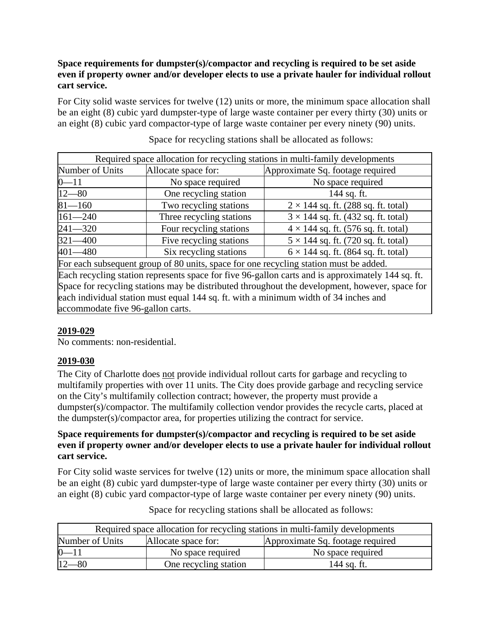# **Space requirements for dumpster(s)/compactor and recycling is required to be set aside even if property owner and/or developer elects to use a private hauler for individual rollout cart service.**

For City solid waste services for twelve (12) units or more, the minimum space allocation shall be an eight (8) cubic yard dumpster-type of large waste container per every thirty (30) units or an eight (8) cubic yard compactor-type of large waste container per every ninety (90) units.

| Required space allocation for recycling stations in multi-family developments         |                          |                                            |
|---------------------------------------------------------------------------------------|--------------------------|--------------------------------------------|
| Number of Units                                                                       | Allocate space for:      | Approximate Sq. footage required           |
| $0 - 11$                                                                              | No space required        | No space required                          |
| $12 - 80$                                                                             | One recycling station    | 144 sq. ft.                                |
| $81 - 160$                                                                            | Two recycling stations   | $2 \times 144$ sq. ft. (288 sq. ft. total) |
| $161 - 240$                                                                           | Three recycling stations | $3 \times 144$ sq. ft. (432 sq. ft. total) |
| $241 - 320$                                                                           | Four recycling stations  | $4 \times 144$ sq. ft. (576 sq. ft. total) |
| $321 - 400$                                                                           | Five recycling stations  | $5 \times 144$ sq. ft. (720 sq. ft. total) |
| $401 - 480$                                                                           | Six recycling stations   | $6 \times 144$ sq. ft. (864 sq. ft. total) |
| For each subsequent group of 80 units, space for one recycling station must be added. |                          |                                            |

Space for recycling stations shall be allocated as follows:

Each recycling station represents space for five 96-gallon carts and is approximately 144 sq. ft. Space for recycling stations may be distributed throughout the development, however, space for each individual station must equal 144 sq. ft. with a minimum width of 34 inches and accommodate five 96-gallon carts.

# **2019-029**

No comments: non-residential.

#### **2019-030**

The City of Charlotte does not provide individual rollout carts for garbage and recycling to multifamily properties with over 11 units. The City does provide garbage and recycling service on the City's multifamily collection contract; however, the property must provide a dumpster(s)/compactor. The multifamily collection vendor provides the recycle carts, placed at the dumpster(s)/compactor area, for properties utilizing the contract for service.

## **Space requirements for dumpster(s)/compactor and recycling is required to be set aside even if property owner and/or developer elects to use a private hauler for individual rollout cart service.**

For City solid waste services for twelve (12) units or more, the minimum space allocation shall be an eight (8) cubic yard dumpster-type of large waste container per every thirty (30) units or an eight (8) cubic yard compactor-type of large waste container per every ninety (90) units.

| Required space allocation for recycling stations in multi-family developments |                       |                                  |
|-------------------------------------------------------------------------------|-----------------------|----------------------------------|
| Number of Units                                                               | Allocate space for:   | Approximate Sq. footage required |
| $0 - 11$                                                                      | No space required     | No space required                |
| –80                                                                           | One recycling station | 144 sq. ft.                      |

Space for recycling stations shall be allocated as follows: